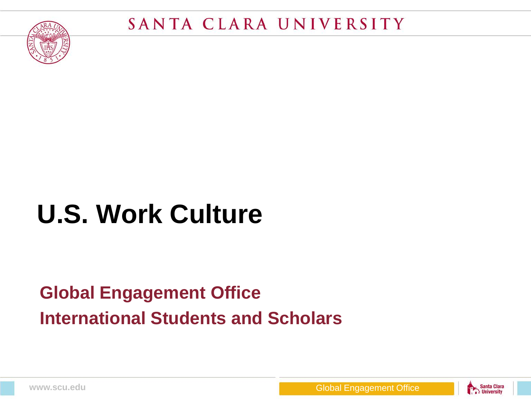

# **U.S. Work Culture**

#### **Global Engagement Office International Students and Scholars**

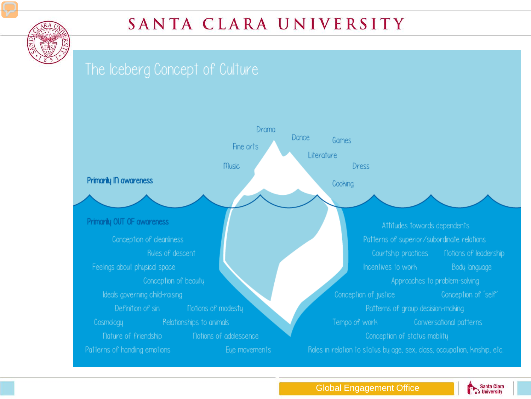

#### SANTA CLARA UNIVERSITY



Santa Clara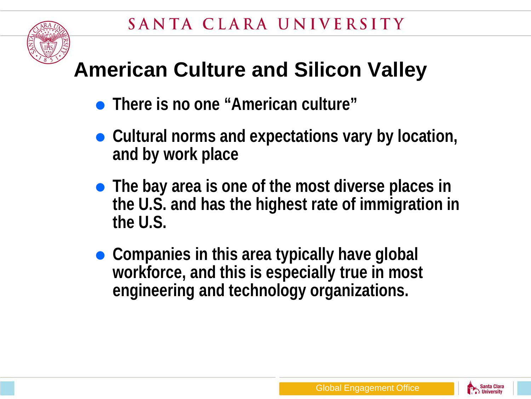

## **American Culture and Silicon Valley**

- **There is no one "American culture"**
- Cultural norms and expectations vary by location, **and by work place**
- **The bay area is one of the most diverse places in the U.S. and has the highest rate of immigration in the U.S.**
- **Companies in this area typically have global workforce, and this is especially true in most engineering and technology organizations.**

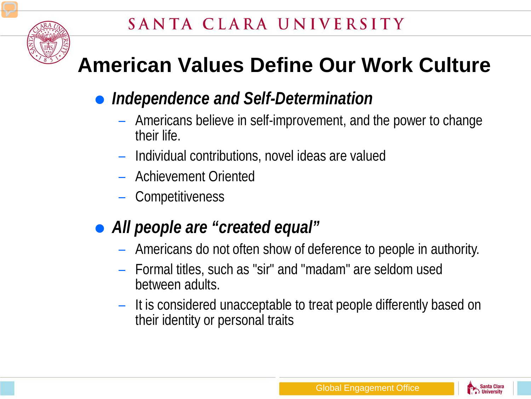

## **American Values Define Our Work Culture**

- *Independence and Self-Determination*
	- Americans believe in self-improvement, and the power to change their life.
	- Individual contributions, novel ideas are valued
	- Achievement Oriented
	- Competitiveness
- *All people are "created equal"*
	- Americans do not often show of deference to people in authority.
	- Formal titles, such as "sir" and "madam" are seldom used between adults.
	- It is considered unacceptable to treat people differently based on their identity or personal traits

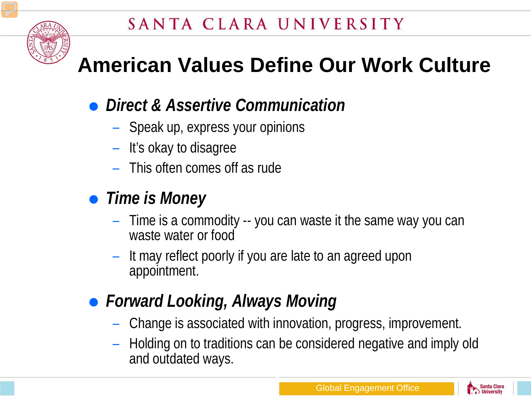

## **American Values Define Our Work Culture**

#### *Direct & Assertive Communication*

- Speak up, express your opinions
- It's okay to disagree
- This often comes off as rude

#### *Time is Money*

- Time is a commodity -- you can waste it the same way you can waste water or food
- It may reflect poorly if you are late to an agreed upon appointment.
- *Forward Looking, Always Moving*
	- Change is associated with innovation, progress, improvement.
	- Holding on to traditions can be considered negative and imply old and outdated ways.

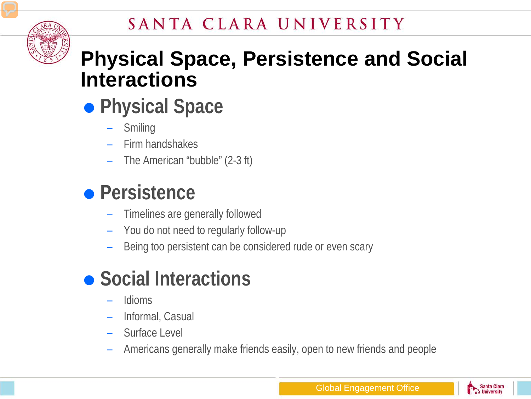#### SANTA CLARA UNIVERSITY



### **Physical Space, Persistence and Social Interactions**

- **Physical Space**
	- Smiling
	- Firm handshakes
	- The American "bubble" (2-3 ft)

## **Persistence**

- Timelines are generally followed
- You do not need to regularly follow-up
- Being too persistent can be considered rude or even scary

## **• Social Interactions**

- Idioms
- Informal, Casual
- Surface Level
- Americans generally make friends easily, open to new friends and people

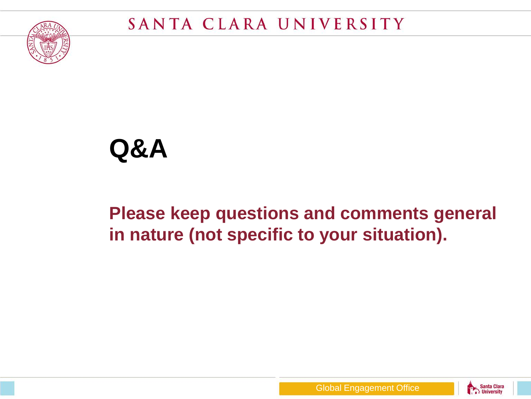

## **Q&A**

#### **Please keep questions and comments general in nature (not specific to your situation).**